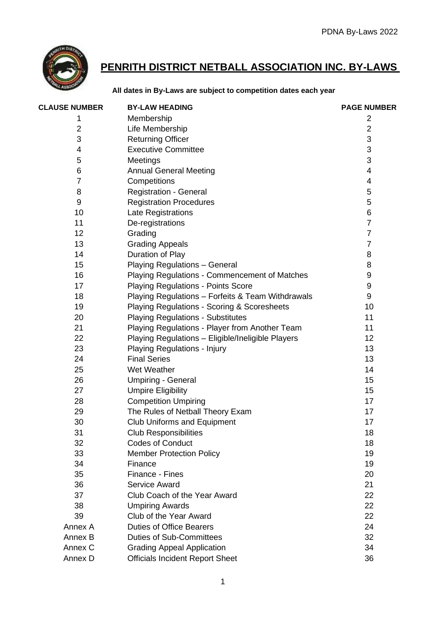

## **PENRITH DISTRICT NETBALL ASSOCIATION INC. BY-LAWS**

## **All dates in By-Laws are subject to competition dates each year**

| <b>CLAUSE NUMBER</b> | <b>BY-LAW HEADING</b>                             | <b>PAGE NUMBER</b> |
|----------------------|---------------------------------------------------|--------------------|
| 1                    | Membership                                        | 2                  |
| 2                    | Life Membership                                   | $\overline{2}$     |
| 3                    | <b>Returning Officer</b>                          | $\mathsf 3$        |
| 4                    | <b>Executive Committee</b>                        | 3                  |
| 5                    | Meetings                                          | 3                  |
| 6                    | <b>Annual General Meeting</b>                     | 4                  |
| 7                    | Competitions                                      | 4                  |
| 8                    | <b>Registration - General</b>                     | 5                  |
| 9                    | <b>Registration Procedures</b>                    | 5                  |
| 10                   | Late Registrations                                | 6                  |
| 11                   | De-registrations                                  | $\overline{7}$     |
| 12                   | Grading                                           | $\overline{7}$     |
| 13                   | <b>Grading Appeals</b>                            | $\overline{7}$     |
| 14                   | Duration of Play                                  | 8                  |
| 15                   | Playing Regulations - General                     | 8                  |
| 16                   | Playing Regulations - Commencement of Matches     | 9                  |
| 17                   | <b>Playing Regulations - Points Score</b>         | 9                  |
| 18                   | Playing Regulations - Forfeits & Team Withdrawals | $\boldsymbol{9}$   |
| 19                   | Playing Regulations - Scoring & Scoresheets       | 10                 |
| 20                   | <b>Playing Regulations - Substitutes</b>          | 11                 |
| 21                   | Playing Regulations - Player from Another Team    | 11                 |
| 22                   | Playing Regulations - Eligible/Ineligible Players | 12 <sup>2</sup>    |
| 23                   | Playing Regulations - Injury                      | 13                 |
| 24                   | <b>Final Series</b>                               | 13                 |
| 25                   | Wet Weather                                       | 14                 |
| 26                   | <b>Umpiring - General</b>                         | 15                 |
| 27                   | <b>Umpire Eligibility</b>                         | 15                 |
| 28                   | <b>Competition Umpiring</b>                       | 17                 |
| 29                   | The Rules of Netball Theory Exam                  | 17                 |
| 30                   | <b>Club Uniforms and Equipment</b>                | 17                 |
| 31                   | <b>Club Responsibilities</b>                      | 18                 |
| 32                   | <b>Codes of Conduct</b>                           | 18                 |
| 33                   | <b>Member Protection Policy</b>                   | 19                 |
| 34                   | Finance                                           | 19                 |
| 35                   | Finance - Fines                                   | 20                 |
| 36                   | Service Award                                     | 21                 |
| 37                   | Club Coach of the Year Award                      | 22                 |
| 38                   | <b>Umpiring Awards</b>                            | 22                 |
| 39                   | Club of the Year Award                            | 22                 |
| Annex A              | <b>Duties of Office Bearers</b>                   | 24                 |
| Annex B              | <b>Duties of Sub-Committees</b>                   | 32                 |
| Annex C              | <b>Grading Appeal Application</b>                 | 34                 |
| Annex D              | <b>Officials Incident Report Sheet</b>            | 36                 |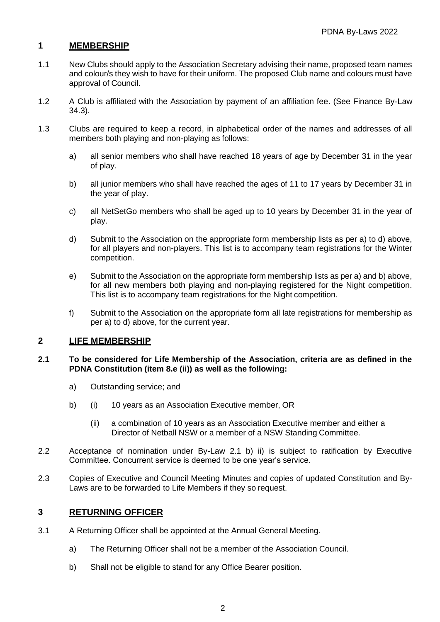## **1 MEMBERSHIP**

- 1.1 New Clubs should apply to the Association Secretary advising their name, proposed team names and colour/s they wish to have for their uniform. The proposed Club name and colours must have approval of Council.
- 1.2 A Club is affiliated with the Association by payment of an affiliation fee. (See Finance By-Law 34.3).
- 1.3 Clubs are required to keep a record, in alphabetical order of the names and addresses of all members both playing and non-playing as follows:
	- a) all senior members who shall have reached 18 years of age by December 31 in the year of play.
	- b) all junior members who shall have reached the ages of 11 to 17 years by December 31 in the year of play.
	- c) all NetSetGo members who shall be aged up to 10 years by December 31 in the year of play.
	- d) Submit to the Association on the appropriate form membership lists as per a) to d) above, for all players and non-players. This list is to accompany team registrations for the Winter competition.
	- e) Submit to the Association on the appropriate form membership lists as per a) and b) above, for all new members both playing and non-playing registered for the Night competition. This list is to accompany team registrations for the Night competition.
	- f) Submit to the Association on the appropriate form all late registrations for membership as per a) to d) above, for the current year.

## **2 LIFE MEMBERSHIP**

#### **2.1 To be considered for Life Membership of the Association, criteria are as defined in the PDNA Constitution (item 8.e (ii)) as well as the following:**

- a) Outstanding service; and
- b) (i) 10 years as an Association Executive member, OR
	- (ii) a combination of 10 years as an Association Executive member and either a Director of Netball NSW or a member of a NSW Standing Committee.
- 2.2 Acceptance of nomination under By-Law 2.1 b) ii) is subject to ratification by Executive Committee. Concurrent service is deemed to be one year's service.
- 2.3 Copies of Executive and Council Meeting Minutes and copies of updated Constitution and By-Laws are to be forwarded to Life Members if they so request.

## **3 RETURNING OFFICER**

- 3.1 A Returning Officer shall be appointed at the Annual General Meeting.
	- a) The Returning Officer shall not be a member of the Association Council.
	- b) Shall not be eligible to stand for any Office Bearer position.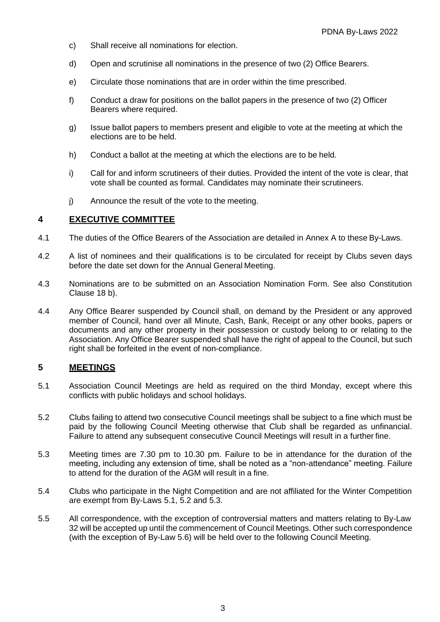- c) Shall receive all nominations for election.
- d) Open and scrutinise all nominations in the presence of two (2) Office Bearers.
- e) Circulate those nominations that are in order within the time prescribed.
- f) Conduct a draw for positions on the ballot papers in the presence of two (2) Officer Bearers where required.
- g) Issue ballot papers to members present and eligible to vote at the meeting at which the elections are to be held.
- h) Conduct a ballot at the meeting at which the elections are to be held.
- i) Call for and inform scrutineers of their duties. Provided the intent of the vote is clear, that vote shall be counted as formal. Candidates may nominate their scrutineers.
- j) Announce the result of the vote to the meeting.

#### **4 EXECUTIVE COMMITTEE**

- 4.1 The duties of the Office Bearers of the Association are detailed in Annex A to these By-Laws.
- 4.2 A list of nominees and their qualifications is to be circulated for receipt by Clubs seven days before the date set down for the Annual General Meeting.
- 4.3 Nominations are to be submitted on an Association Nomination Form. See also Constitution Clause 18 b).
- 4.4 Any Office Bearer suspended by Council shall, on demand by the President or any approved member of Council, hand over all Minute, Cash, Bank, Receipt or any other books, papers or documents and any other property in their possession or custody belong to or relating to the Association. Any Office Bearer suspended shall have the right of appeal to the Council, but such right shall be forfeited in the event of non-compliance.

## **5 MEETINGS**

- 5.1 Association Council Meetings are held as required on the third Monday, except where this conflicts with public holidays and school holidays.
- 5.2 Clubs failing to attend two consecutive Council meetings shall be subject to a fine which must be paid by the following Council Meeting otherwise that Club shall be regarded as unfinancial. Failure to attend any subsequent consecutive Council Meetings will result in a further fine.
- 5.3 Meeting times are 7.30 pm to 10.30 pm. Failure to be in attendance for the duration of the meeting, including any extension of time, shall be noted as a "non-attendance" meeting. Failure to attend for the duration of the AGM will result in a fine.
- 5.4 Clubs who participate in the Night Competition and are not affiliated for the Winter Competition are exempt from By-Laws 5.1, 5.2 and 5.3.
- 5.5 All correspondence, with the exception of controversial matters and matters relating to By-Law 32 will be accepted up until the commencement of Council Meetings. Other such correspondence (with the exception of By-Law 5.6) will be held over to the following Council Meeting.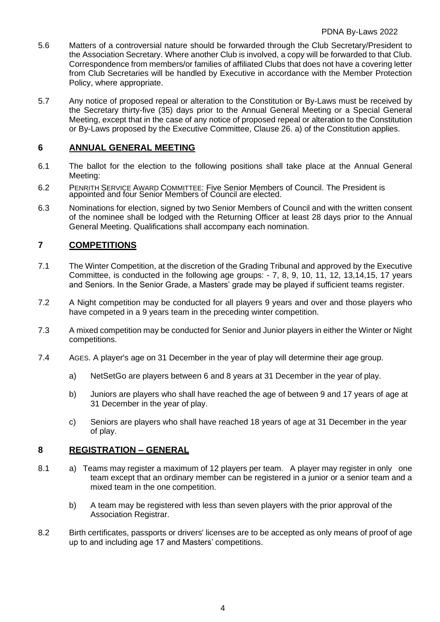- 5.6 Matters of a controversial nature should be forwarded through the Club Secretary/President to the Association Secretary. Where another Club is involved, a copy will be forwarded to that Club. Correspondence from members/or families of affiliated Clubs that does not have a covering letter from Club Secretaries will be handled by Executive in accordance with the Member Protection Policy, where appropriate.
- 5.7 Any notice of proposed repeal or alteration to the Constitution or By-Laws must be received by the Secretary thirty-five (35) days prior to the Annual General Meeting or a Special General Meeting, except that in the case of any notice of proposed repeal or alteration to the Constitution or By-Laws proposed by the Executive Committee, Clause 26. a) of the Constitution applies.

## **6 ANNUAL GENERAL MEETING**

- 6.1 The ballot for the election to the following positions shall take place at the Annual General Meeting:
- 6.2 PENRITH SERVICE AWARD COMMITTEE: Five Senior Members of Council. The President is appointed and four Senior Members of Council are elected.
- 6.3 Nominations for election, signed by two Senior Members of Council and with the written consent of the nominee shall be lodged with the Returning Officer at least 28 days prior to the Annual General Meeting. Qualifications shall accompany each nomination.

## **7 COMPETITIONS**

- 7.1 The Winter Competition, at the discretion of the Grading Tribunal and approved by the Executive Committee, is conducted in the following age groups: - 7, 8, 9, 10, 11, 12, 13,14,15, 17 years and Seniors. In the Senior Grade, a Masters' grade may be played if sufficient teams register.
- 7.2 A Night competition may be conducted for all players 9 years and over and those players who have competed in a 9 years team in the preceding winter competition.
- 7.3 A mixed competition may be conducted for Senior and Junior players in either the Winter or Night competitions.
- 7.4 AGES. A player's age on 31 December in the year of play will determine their age group.
	- a) NetSetGo are players between 6 and 8 years at 31 December in the year of play.
	- b) Juniors are players who shall have reached the age of between 9 and 17 years of age at 31 December in the year of play.
	- c) Seniors are players who shall have reached 18 years of age at 31 December in the year of play.

## **8 REGISTRATION – GENERAL**

- 8.1 a) Teams may register a maximum of 12 players per team. A player may register in only one team except that an ordinary member can be registered in a junior or a senior team and a mixed team in the one competition.
	- b) A team may be registered with less than seven players with the prior approval of the Association Registrar.
- 8.2 Birth certificates, passports or drivers' licenses are to be accepted as only means of proof of age up to and including age 17 and Masters' competitions.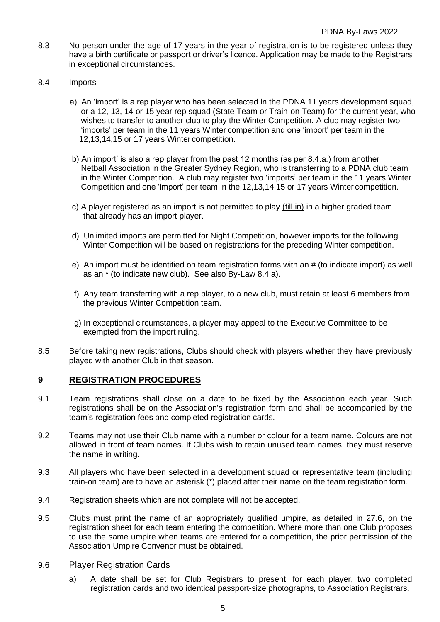- 8.3 No person under the age of 17 years in the year of registration is to be registered unless they have a birth certificate or passport or driver's licence. Application may be made to the Registrars in exceptional circumstances.
- 8.4 Imports
	- a) An 'import' is a rep player who has been selected in the PDNA 11 years development squad, or a 12, 13, 14 or 15 year rep squad (State Team or Train-on Team) for the current year, who wishes to transfer to another club to play the Winter Competition. A club may register two 'imports' per team in the 11 years Winter competition and one 'import' per team in the 12,13,14,15 or 17 years Winter competition.
	- b) An import' is also a rep player from the past 12 months (as per 8.4.a.) from another Netball Association in the Greater Sydney Region, who is transferring to a PDNA club team in the Winter Competition. A club may register two 'imports' per team in the 11 years Winter Competition and one 'import' per team in the 12,13,14,15 or 17 years Winter competition.
	- c) A player registered as an import is not permitted to play (fill in) in a higher graded team that already has an import player.
	- d) Unlimited imports are permitted for Night Competition, however imports for the following Winter Competition will be based on registrations for the preceding Winter competition.
	- e) An import must be identified on team registration forms with an # (to indicate import) as well as an \* (to indicate new club). See also By-Law 8.4.a).
	- f) Any team transferring with a rep player, to a new club, must retain at least 6 members from the previous Winter Competition team.
	- g) In exceptional circumstances, a player may appeal to the Executive Committee to be exempted from the import ruling.
- 8.5 Before taking new registrations, Clubs should check with players whether they have previously played with another Club in that season.

#### **9 REGISTRATION PROCEDURES**

- 9.1 Team registrations shall close on a date to be fixed by the Association each year. Such registrations shall be on the Association's registration form and shall be accompanied by the team's registration fees and completed registration cards.
- 9.2 Teams may not use their Club name with a number or colour for a team name. Colours are not allowed in front of team names. If Clubs wish to retain unused team names, they must reserve the name in writing.
- 9.3 All players who have been selected in a development squad or representative team (including train-on team) are to have an asterisk (\*) placed after their name on the team registration form.
- 9.4 Registration sheets which are not complete will not be accepted.
- 9.5 Clubs must print the name of an appropriately qualified umpire, as detailed in 27.6, on the registration sheet for each team entering the competition. Where more than one Club proposes to use the same umpire when teams are entered for a competition, the prior permission of the Association Umpire Convenor must be obtained.
- 9.6 Player Registration Cards
	- a) A date shall be set for Club Registrars to present, for each player, two completed registration cards and two identical passport-size photographs, to Association Registrars.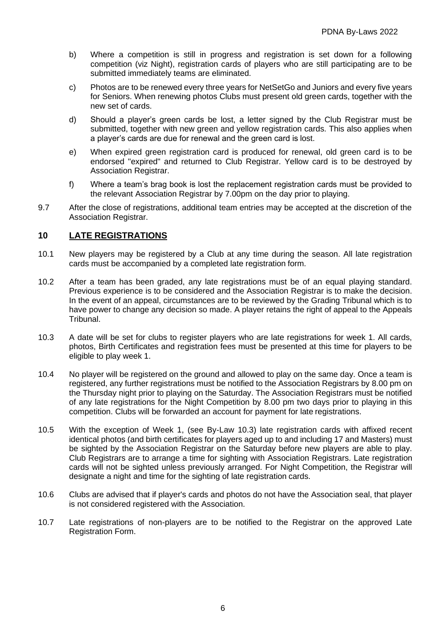- b) Where a competition is still in progress and registration is set down for a following competition (viz Night), registration cards of players who are still participating are to be submitted immediately teams are eliminated.
- c) Photos are to be renewed every three years for NetSetGo and Juniors and every five years for Seniors. When renewing photos Clubs must present old green cards, together with the new set of cards.
- d) Should a player's green cards be lost, a letter signed by the Club Registrar must be submitted, together with new green and yellow registration cards. This also applies when a player's cards are due for renewal and the green card is lost.
- e) When expired green registration card is produced for renewal, old green card is to be endorsed "expired" and returned to Club Registrar. Yellow card is to be destroyed by Association Registrar.
- f) Where a team's brag book is lost the replacement registration cards must be provided to the relevant Association Registrar by 7.00pm on the day prior to playing.
- 9.7 After the close of registrations, additional team entries may be accepted at the discretion of the Association Registrar.

## **10 LATE REGISTRATIONS**

- 10.1 New players may be registered by a Club at any time during the season. All late registration cards must be accompanied by a completed late registration form.
- 10.2 After a team has been graded, any late registrations must be of an equal playing standard. Previous experience is to be considered and the Association Registrar is to make the decision. In the event of an appeal, circumstances are to be reviewed by the Grading Tribunal which is to have power to change any decision so made. A player retains the right of appeal to the Appeals Tribunal.
- 10.3 A date will be set for clubs to register players who are late registrations for week 1. All cards, photos, Birth Certificates and registration fees must be presented at this time for players to be eligible to play week 1.
- 10.4 No player will be registered on the ground and allowed to play on the same day. Once a team is registered, any further registrations must be notified to the Association Registrars by 8.00 pm on the Thursday night prior to playing on the Saturday. The Association Registrars must be notified of any late registrations for the Night Competition by 8.00 pm two days prior to playing in this competition. Clubs will be forwarded an account for payment for late registrations.
- 10.5 With the exception of Week 1, (see By-Law 10.3) late registration cards with affixed recent identical photos (and birth certificates for players aged up to and including 17 and Masters) must be sighted by the Association Registrar on the Saturday before new players are able to play. Club Registrars are to arrange a time for sighting with Association Registrars. Late registration cards will not be sighted unless previously arranged. For Night Competition, the Registrar will designate a night and time for the sighting of late registration cards.
- 10.6 Clubs are advised that if player's cards and photos do not have the Association seal, that player is not considered registered with the Association.
- 10.7 Late registrations of non-players are to be notified to the Registrar on the approved Late Registration Form.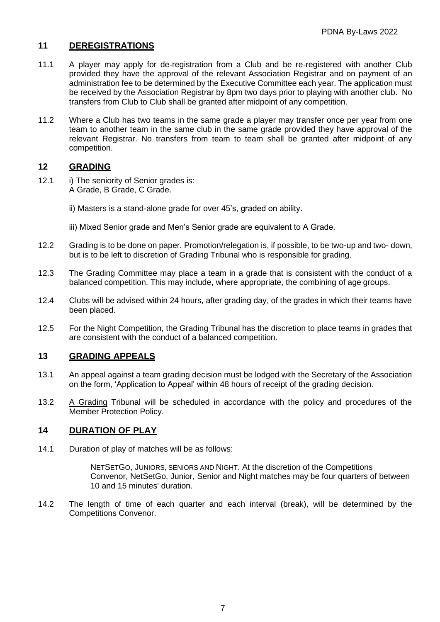## **11 DEREGISTRATIONS**

- 11.1 A player may apply for de-registration from a Club and be re-registered with another Club provided they have the approval of the relevant Association Registrar and on payment of an administration fee to be determined by the Executive Committee each year. The application must be received by the Association Registrar by 8pm two days prior to playing with another club. No transfers from Club to Club shall be granted after midpoint of any competition.
- 11.2 Where a Club has two teams in the same grade a player may transfer once per year from one team to another team in the same club in the same grade provided they have approval of the relevant Registrar. No transfers from team to team shall be granted after midpoint of any competition.

## **12 GRADING**

- 12.1 i) The seniority of Senior grades is: A Grade, B Grade, C Grade.
	- ii) Masters is a stand-alone grade for over 45's, graded on ability.
	- iii) Mixed Senior grade and Men's Senior grade are equivalent to A Grade.
- 12.2 Grading is to be done on paper. Promotion/relegation is, if possible, to be two-up and two- down, but is to be left to discretion of Grading Tribunal who is responsible for grading.
- 12.3 The Grading Committee may place a team in a grade that is consistent with the conduct of a balanced competition. This may include, where appropriate, the combining of age groups.
- 12.4 Clubs will be advised within 24 hours, after grading day, of the grades in which their teams have been placed.
- 12.5 For the Night Competition, the Grading Tribunal has the discretion to place teams in grades that are consistent with the conduct of a balanced competition.

## **13 GRADING APPEALS**

- 13.1 An appeal against a team grading decision must be lodged with the Secretary of the Association on the form, 'Application to Appeal' within 48 hours of receipt of the grading decision.
- 13.2 A Grading Tribunal will be scheduled in accordance with the policy and procedures of the Member Protection Policy.

## **14 DURATION OF PLAY**

14.1 Duration of play of matches will be as follows:

NETSETGO, JUNIORS, SENIORS AND NIGHT. At the discretion of the Competitions Convenor, NetSetGo, Junior, Senior and Night matches may be four quarters of between 10 and 15 minutes' duration.

14.2 The length of time of each quarter and each interval (break), will be determined by the Competitions Convenor.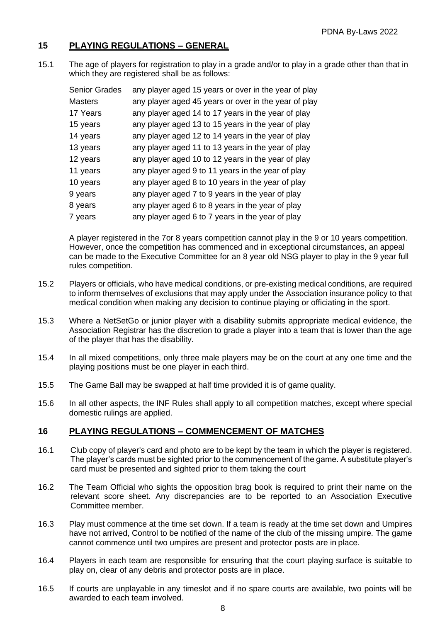## **15 PLAYING REGULATIONS – GENERAL**

15.1 The age of players for registration to play in a grade and/or to play in a grade other than that in which they are registered shall be as follows:

| <b>Senior Grades</b> | any player aged 15 years or over in the year of play |
|----------------------|------------------------------------------------------|
| <b>Masters</b>       | any player aged 45 years or over in the year of play |
| 17 Years             | any player aged 14 to 17 years in the year of play   |
| 15 years             | any player aged 13 to 15 years in the year of play   |
| 14 years             | any player aged 12 to 14 years in the year of play   |
| 13 years             | any player aged 11 to 13 years in the year of play   |
| 12 years             | any player aged 10 to 12 years in the year of play   |
| 11 years             | any player aged 9 to 11 years in the year of play    |
| 10 years             | any player aged 8 to 10 years in the year of play    |
| 9 years              | any player aged 7 to 9 years in the year of play     |
| 8 years              | any player aged 6 to 8 years in the year of play     |
| 7 years              | any player aged 6 to 7 years in the year of play     |

A player registered in the 7or 8 years competition cannot play in the 9 or 10 years competition. However, once the competition has commenced and in exceptional circumstances, an appeal can be made to the Executive Committee for an 8 year old NSG player to play in the 9 year full rules competition.

- 15.2 Players or officials, who have medical conditions, or pre-existing medical conditions, are required to inform themselves of exclusions that may apply under the Association insurance policy to that medical condition when making any decision to continue playing or officiating in the sport.
- 15.3 Where a NetSetGo or junior player with a disability submits appropriate medical evidence, the Association Registrar has the discretion to grade a player into a team that is lower than the age of the player that has the disability.
- 15.4 In all mixed competitions, only three male players may be on the court at any one time and the playing positions must be one player in each third.
- 15.5 The Game Ball may be swapped at half time provided it is of game quality.
- 15.6 In all other aspects, the INF Rules shall apply to all competition matches, except where special domestic rulings are applied.

## **16 PLAYING REGULATIONS – COMMENCEMENT OF MATCHES**

- 16.1 Club copy of player's card and photo are to be kept by the team in which the player is registered. The player's cards must be sighted prior to the commencement of the game. A substitute player's card must be presented and sighted prior to them taking the court
- 16.2 The Team Official who sights the opposition brag book is required to print their name on the relevant score sheet. Any discrepancies are to be reported to an Association Executive Committee member.
- 16.3 Play must commence at the time set down. If a team is ready at the time set down and Umpires have not arrived, Control to be notified of the name of the club of the missing umpire. The game cannot commence until two umpires are present and protector posts are in place.
- 16.4 Players in each team are responsible for ensuring that the court playing surface is suitable to play on, clear of any debris and protector posts are in place.
- 16.5 If courts are unplayable in any timeslot and if no spare courts are available, two points will be awarded to each team involved.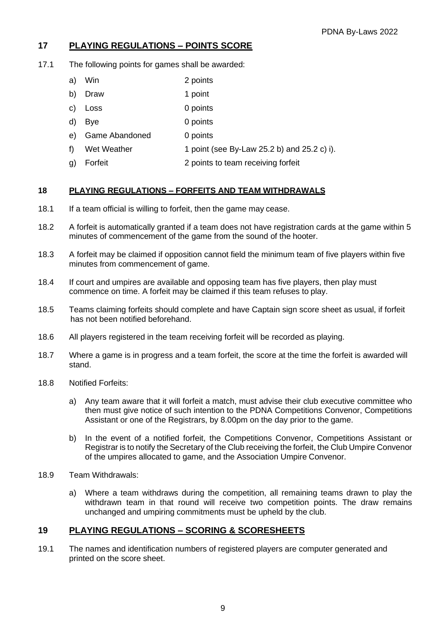## **17 PLAYING REGULATIONS – POINTS SCORE**

- 17.1 The following points for games shall be awarded:
	- a) Win 2 points
	- b) Draw 1 point
	- c) Loss 0 points
	- d) Bye 0 points
	- e) Game Abandoned 0 points
	- f) Wet Weather  $\frac{1}{2}$  point (see By-Law 25.2 b) and 25.2 c) i).
	- g) Forfeit 2 points to team receiving forfeit

#### **18 PLAYING REGULATIONS – FORFEITS AND TEAM WITHDRAWALS**

- 18.1 If a team official is willing to forfeit, then the game may cease.
- 18.2 A forfeit is automatically granted if a team does not have registration cards at the game within 5 minutes of commencement of the game from the sound of the hooter.
- 18.3 A forfeit may be claimed if opposition cannot field the minimum team of five players within five minutes from commencement of game.
- 18.4 If court and umpires are available and opposing team has five players, then play must commence on time. A forfeit may be claimed if this team refuses to play.
- 18.5 Teams claiming forfeits should complete and have Captain sign score sheet as usual, if forfeit has not been notified beforehand.
- 18.6 All players registered in the team receiving forfeit will be recorded as playing.
- 18.7 Where a game is in progress and a team forfeit, the score at the time the forfeit is awarded will stand.
- 18.8 Notified Forfeits:
	- a) Any team aware that it will forfeit a match, must advise their club executive committee who then must give notice of such intention to the PDNA Competitions Convenor, Competitions Assistant or one of the Registrars, by 8.00pm on the day prior to the game.
	- b) In the event of a notified forfeit, the Competitions Convenor, Competitions Assistant or Registrar is to notify the Secretary of the Club receiving the forfeit, the Club Umpire Convenor of the umpires allocated to game, and the Association Umpire Convenor.
- 18.9 Team Withdrawals:
	- a) Where a team withdraws during the competition, all remaining teams drawn to play the withdrawn team in that round will receive two competition points. The draw remains unchanged and umpiring commitments must be upheld by the club.

## **19 PLAYING REGULATIONS – SCORING & SCORESHEETS**

19.1 The names and identification numbers of registered players are computer generated and printed on the score sheet.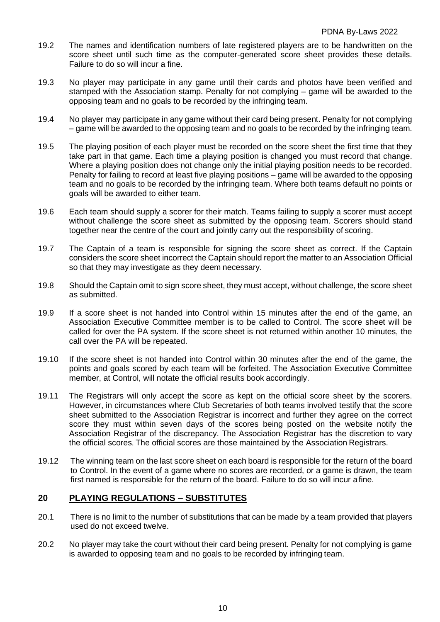- 19.2 The names and identification numbers of late registered players are to be handwritten on the score sheet until such time as the computer-generated score sheet provides these details. Failure to do so will incur a fine.
- 19.3 No player may participate in any game until their cards and photos have been verified and stamped with the Association stamp. Penalty for not complying – game will be awarded to the opposing team and no goals to be recorded by the infringing team.
- 19.4 No player may participate in any game without their card being present. Penalty for not complying – game will be awarded to the opposing team and no goals to be recorded by the infringing team.
- 19.5 The playing position of each player must be recorded on the score sheet the first time that they take part in that game. Each time a playing position is changed you must record that change. Where a playing position does not change only the initial playing position needs to be recorded. Penalty for failing to record at least five playing positions – game will be awarded to the opposing team and no goals to be recorded by the infringing team. Where both teams default no points or goals will be awarded to either team.
- 19.6 Each team should supply a scorer for their match. Teams failing to supply a scorer must accept without challenge the score sheet as submitted by the opposing team. Scorers should stand together near the centre of the court and jointly carry out the responsibility of scoring.
- 19.7 The Captain of a team is responsible for signing the score sheet as correct. If the Captain considers the score sheet incorrect the Captain should report the matter to an Association Official so that they may investigate as they deem necessary.
- 19.8 Should the Captain omit to sign score sheet, they must accept, without challenge, the score sheet as submitted.
- 19.9 If a score sheet is not handed into Control within 15 minutes after the end of the game, an Association Executive Committee member is to be called to Control. The score sheet will be called for over the PA system. If the score sheet is not returned within another 10 minutes, the call over the PA will be repeated.
- 19.10 If the score sheet is not handed into Control within 30 minutes after the end of the game, the points and goals scored by each team will be forfeited. The Association Executive Committee member, at Control, will notate the official results book accordingly.
- 19.11 The Registrars will only accept the score as kept on the official score sheet by the scorers. However, in circumstances where Club Secretaries of both teams involved testify that the score sheet submitted to the Association Registrar is incorrect and further they agree on the correct score they must within seven days of the scores being posted on the website notify the Association Registrar of the discrepancy. The Association Registrar has the discretion to vary the official scores. The official scores are those maintained by the Association Registrars.
- 19.12 The winning team on the last score sheet on each board is responsible for the return of the board to Control. In the event of a game where no scores are recorded, or a game is drawn, the team first named is responsible for the return of the board. Failure to do so will incur afine.

#### **20 PLAYING REGULATIONS – SUBSTITUTES**

- 20.1 There is no limit to the number of substitutions that can be made by a team provided that players used do not exceed twelve.
- 20.2 No player may take the court without their card being present. Penalty for not complying is game is awarded to opposing team and no goals to be recorded by infringing team.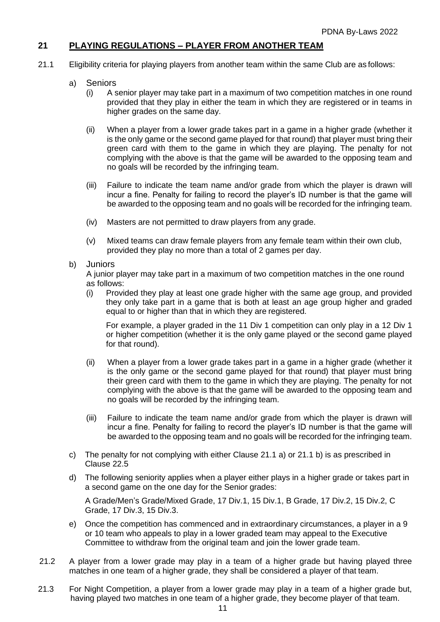## **21 PLAYING REGULATIONS – PLAYER FROM ANOTHER TEAM**

- 21.1 Eligibility criteria for playing players from another team within the same Club are as follows:
	- a) Seniors
		- (i) A senior player may take part in a maximum of two competition matches in one round provided that they play in either the team in which they are registered or in teams in higher grades on the same day.
		- (ii) When a player from a lower grade takes part in a game in a higher grade (whether it is the only game or the second game played for that round) that player must bring their green card with them to the game in which they are playing. The penalty for not complying with the above is that the game will be awarded to the opposing team and no goals will be recorded by the infringing team.
		- (iii) Failure to indicate the team name and/or grade from which the player is drawn will incur a fine. Penalty for failing to record the player's ID number is that the game will be awarded to the opposing team and no goals will be recorded for the infringing team.
		- (iv) Masters are not permitted to draw players from any grade.
		- (v) Mixed teams can draw female players from any female team within their own club, provided they play no more than a total of 2 games per day.
	- b) Juniors

A junior player may take part in a maximum of two competition matches in the one round as follows:

(i) Provided they play at least one grade higher with the same age group, and provided they only take part in a game that is both at least an age group higher and graded equal to or higher than that in which they are registered.

For example, a player graded in the 11 Div 1 competition can only play in a 12 Div 1 or higher competition (whether it is the only game played or the second game played for that round).

- (ii) When a player from a lower grade takes part in a game in a higher grade (whether it is the only game or the second game played for that round) that player must bring their green card with them to the game in which they are playing. The penalty for not complying with the above is that the game will be awarded to the opposing team and no goals will be recorded by the infringing team.
- (iii) Failure to indicate the team name and/or grade from which the player is drawn will incur a fine. Penalty for failing to record the player's ID number is that the game will be awarded to the opposing team and no goals will be recorded for the infringing team.
- c) The penalty for not complying with either Clause 21.1 a) or 21.1 b) is as prescribed in Clause 22.5
- d) The following seniority applies when a player either plays in a higher grade or takes part in a second game on the one day for the Senior grades:

A Grade/Men's Grade/Mixed Grade, 17 Div.1, 15 Div.1, B Grade, 17 Div.2, 15 Div.2, C Grade, 17 Div.3, 15 Div.3.

- e) Once the competition has commenced and in extraordinary circumstances, a player in a 9 or 10 team who appeals to play in a lower graded team may appeal to the Executive Committee to withdraw from the original team and join the lower grade team.
- 21.2 A player from a lower grade may play in a team of a higher grade but having played three matches in one team of a higher grade, they shall be considered a player of that team.
- 21.3 For Night Competition, a player from a lower grade may play in a team of a higher grade but, having played two matches in one team of a higher grade, they become player of that team.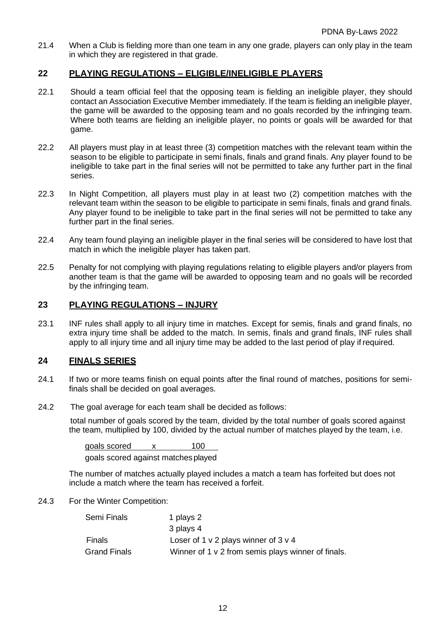21.4 When a Club is fielding more than one team in any one grade, players can only play in the team in which they are registered in that grade.

## **22 PLAYING REGULATIONS – ELIGIBLE/INELIGIBLE PLAYERS**

- 22.1 Should a team official feel that the opposing team is fielding an ineligible player, they should contact an Association Executive Member immediately. If the team is fielding an ineligible player, the game will be awarded to the opposing team and no goals recorded by the infringing team. Where both teams are fielding an ineligible player, no points or goals will be awarded for that game.
- 22.2 All players must play in at least three (3) competition matches with the relevant team within the season to be eligible to participate in semi finals, finals and grand finals. Any player found to be ineligible to take part in the final series will not be permitted to take any further part in the final series.
- 22.3 In Night Competition, all players must play in at least two (2) competition matches with the relevant team within the season to be eligible to participate in semi finals, finals and grand finals. Any player found to be ineligible to take part in the final series will not be permitted to take any further part in the final series.
- 22.4 Any team found playing an ineligible player in the final series will be considered to have lost that match in which the ineligible player has taken part.
- 22.5 Penalty for not complying with playing regulations relating to eligible players and/or players from another team is that th*e* game will be awarded to opposing team and no goals will be recorded by the infringing team.

## **23 PLAYING REGULATIONS – INJURY**

23.1 INF rules shall apply to all injury time in matches. Except for semis, finals and grand finals, no extra injury time shall be added to the match. In semis, finals and grand finals, INF rules shall apply to all injury time and all injury time may be added to the last period of play if required.

## **24 FINALS SERIES**

- 24.1 If two or more teams finish on equal points after the final round of matches, positions for semifinals shall be decided on goal averages.
- 24.2 The goal average for each team shall be decided as follows:

total number of goals scored by the team, divided by the total number of goals scored against the team, multiplied by 100, divided by the actual number of matches played by the team, i.e.

goals scored x 100 goals scored against matchesplayed

The number of matches actually played includes a match a team has forfeited but does not include a match where the team has received a forfeit.

24.3 For the Winter Competition:

| Semi Finals         | 1 plays 2                                          |
|---------------------|----------------------------------------------------|
|                     | 3 plays 4                                          |
| Finals              | Loser of 1 $v$ 2 plays winner of 3 $v$ 4           |
| <b>Grand Finals</b> | Winner of 1 v 2 from semis plays winner of finals. |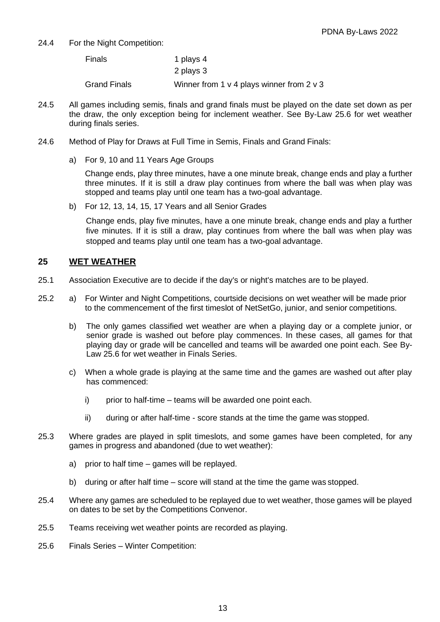24.4 For the Night Competition:

| Finals              | 1 plays 4                                     |
|---------------------|-----------------------------------------------|
|                     | 2 plays 3                                     |
| <b>Grand Finals</b> | Winner from 1 $v$ 4 plays winner from 2 $v$ 3 |

- 24.5 All games including semis, finals and grand finals must be played on the date set down as per the draw, the only exception being for inclement weather. See By-Law 25.6 for wet weather during finals series.
- 24.6 Method of Play for Draws at Full Time in Semis, Finals and Grand Finals:
	- a) For 9, 10 and 11 Years Age Groups

Change ends, play three minutes, have a one minute break, change ends and play a further three minutes. If it is still a draw play continues from where the ball was when play was stopped and teams play until one team has a two-goal advantage.

b) For 12, 13, 14, 15, 17 Years and all Senior Grades

Change ends, play five minutes, have a one minute break, change ends and play a further five minutes. If it is still a draw, play continues from where the ball was when play was stopped and teams play until one team has a two-goal advantage.

#### **25 WET WEATHER**

- 25.1 Association Executive are to decide if the day's or night's matches are to be played.
- 25.2 a) For Winter and Night Competitions, courtside decisions on wet weather will be made prior to the commencement of the first timeslot of NetSetGo, junior, and senior competitions.
	- b) The only games classified wet weather are when a playing day or a complete junior, or senior grade is washed out before play commences. In these cases, all games for that playing day or grade will be cancelled and teams will be awarded one point each. See By-Law 25.6 for wet weather in Finals Series.
	- c) When a whole grade is playing at the same time and the games are washed out after play has commenced:
		- i) prior to half-time teams will be awarded one point each.
		- ii) during or after half-time score stands at the time the game was stopped.
- 25.3 Where grades are played in split timeslots, and some games have been completed, for any games in progress and abandoned (due to wet weather):
	- a) prior to half time games will be replayed.
	- b) during or after half time score will stand at the time the game was stopped.
- 25.4 Where any games are scheduled to be replayed due to wet weather, those games will be played on dates to be set by the Competitions Convenor.
- 25.5 Teams receiving wet weather points are recorded as playing.
- 25.6 Finals Series *–* Winter Competition: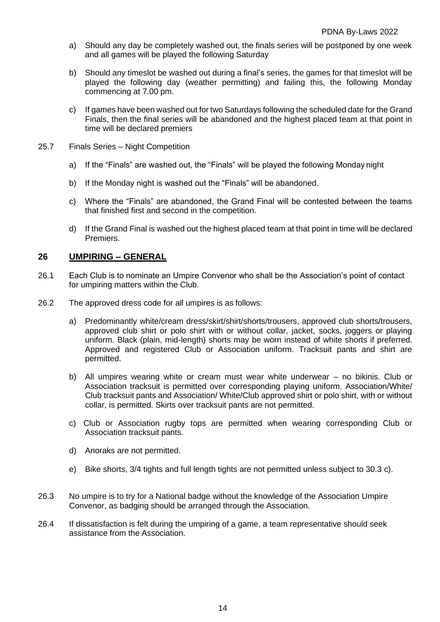- a) Should any day be completely washed out, the finals series will be postponed by one week and all games will be played the following Saturday
- b) Should any timeslot be washed out during a final's series, the games for that timeslot will be played the following day (weather permitting) and failing this, the following Monday commencing at 7.00 pm.
- c) If games have been washed out for two Saturdays following the scheduled date for the Grand Finals, then the final series will be abandoned and the highest placed team at that point in time will be declared premiers
- 25.7 Finals Series Night Competition
	- a) If the "Finals" are washed out, the "Finals" will be played the following Monday night
	- b) If the Monday night is washed out the "Finals" will be abandoned.
	- c) Where the "Finals" are abandoned, the Grand Final will be contested between the teams that finished first and second in the competition.
	- d) If the Grand Final is washed out the highest placed team at that point in time will be declared Premiers.

#### **26 UMPIRING – GENERAL**

- 26.1 Each Club is to nominate an Umpire Convenor who shall be the Association's point of contact for umpiring matters within the Club.
- 26.2 The approved dress code for all umpires is as follows:
	- a) Predominantly white/cream dress/skirt/shirt/shorts/trousers, approved club shorts/trousers, approved club shirt or polo shirt with or without collar, jacket, socks, joggers or playing uniform. Black (plain, mid-length) shorts may be worn instead of white shorts if preferred. Approved and registered Club or Association uniform. Tracksuit pants and shirt are permitted.
	- b) All umpires wearing white or cream must wear white underwear no bikinis. Club or Association tracksuit is permitted over corresponding playing uniform. Association/White/ Club tracksuit pants and Association/ White/Club approved shirt or polo shirt, with or without collar, is permitted. Skirts over tracksuit pants are not permitted.
	- c) Club or Association rugby tops are permitted when wearing corresponding Club or Association tracksuit pants.
	- d) Anoraks are not permitted.
	- e) Bike shorts, 3/4 tights and full length tights are not permitted unless subject to 30.3 c).
- 26.3 No umpire is to try for a National badge without the knowledge of the Association Umpire Convenor, as badging should be arranged through the Association.
- 26.4 If dissatisfaction is felt during the umpiring of a game, a team representative should seek assistance from the Association.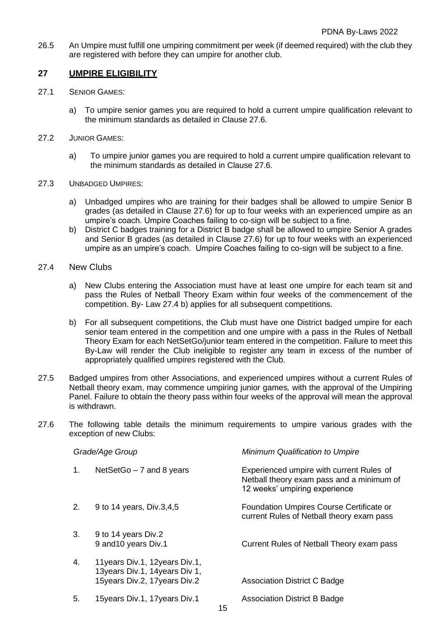26.5 An Umpire must fulfill one umpiring commitment per week (if deemed required) with the club they are registered with before they can umpire for another club.

## **27 UMPIRE ELIGIBILITY**

- 27.1 SENIOR GAMES:
	- a) To umpire senior games you are required to hold a current umpire qualification relevant to the minimum standards as detailed in Clause 27.6.
- 27.2 JUNIOR GAMES:
	- a) To umpire junior games you are required to hold a current umpire qualification relevant to the minimum standards as detailed in Clause 27.6.
- 27.3 UNBADGED UMPIRES:
	- a) Unbadged umpires who are training for their badges shall be allowed to umpire Senior B grades (as detailed in Clause 27.6) for up to four weeks with an experienced umpire as an umpire's coach. Umpire Coaches failing to co-sign will be subject to a fine.
	- b) District C badges training for a District B badge shall be allowed to umpire Senior A grades and Senior B grades (as detailed in Clause 27.6) for up to four weeks with an experienced umpire as an umpire's coach. Umpire Coaches failing to co-sign will be subject to a fine.
- 27.4 New Clubs
	- a) New Clubs entering the Association must have at least one umpire for each team sit and pass the Rules of Netball Theory Exam within four weeks of the commencement of the competition. By- Law 27.4 b) applies for all subsequent competitions.
	- b) For all subsequent competitions, the Club must have one District badged umpire for each senior team entered in the competition and one umpire with a pass in the Rules of Netball Theory Exam for each NetSetGo/junior team entered in the competition. Failure to meet this By-Law will render the Club ineligible to register any team in excess of the number of appropriately qualified umpires registered with the Club.
- 27.5 Badged umpires from other Associations, and experienced umpires without a current Rules of Netball theory exam, may commence umpiring junior games*,* with the approval of the Umpiring Panel. Failure to obtain the theory pass within four weeks of the approval will mean the approval is withdrawn.
- 27.6 The following table details the minimum requirements to umpire various grades with the exception of new Clubs:

| Grade/Age Group |                                                                                                    | Minimum Qualification to Umpire                                                                                        |  |
|-----------------|----------------------------------------------------------------------------------------------------|------------------------------------------------------------------------------------------------------------------------|--|
| 1.              | NetSetGo $-7$ and 8 years                                                                          | Experienced umpire with current Rules of<br>Netball theory exam pass and a minimum of<br>12 weeks' umpiring experience |  |
| 2.              | 9 to 14 years, Div.3,4,5                                                                           | Foundation Umpires Course Certificate or<br>current Rules of Netball theory exam pass                                  |  |
| 3.              | 9 to 14 years Div.2<br>9 and 10 years Div.1                                                        | Current Rules of Netball Theory exam pass                                                                              |  |
| 4.              | 11 years Div. 1, 12 years Div. 1,<br>13years Div.1, 14years Div 1,<br>15years Div.2, 17years Div.2 | <b>Association District C Badge</b>                                                                                    |  |
| 5.              | 15years Div.1, 17years Div.1                                                                       | <b>Association District B Badge</b>                                                                                    |  |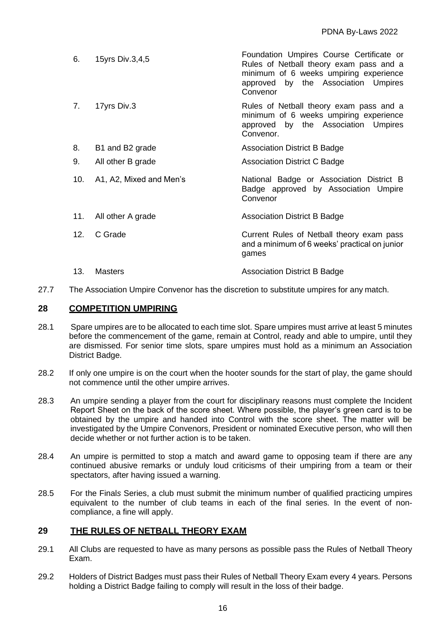| 6.  | 15yrs Div.3,4,5         | Foundation Umpires Course Certificate or<br>Rules of Netball theory exam pass and a<br>minimum of 6 weeks umpiring experience<br>approved by the Association Umpires<br>Convenor |
|-----|-------------------------|----------------------------------------------------------------------------------------------------------------------------------------------------------------------------------|
| 7.  | 17yrs Div.3             | Rules of Netball theory exam pass and a<br>minimum of 6 weeks umpiring experience<br>approved by the Association Umpires<br>Convenor.                                            |
| 8.  | B1 and B2 grade         | <b>Association District B Badge</b>                                                                                                                                              |
| 9.  | All other B grade       | <b>Association District C Badge</b>                                                                                                                                              |
| 10. | A1, A2, Mixed and Men's | National Badge or Association District B<br>Badge approved by Association Umpire<br>Convenor                                                                                     |
| 11. | All other A grade       | <b>Association District B Badge</b>                                                                                                                                              |
| 12. | C Grade                 | Current Rules of Netball theory exam pass<br>and a minimum of 6 weeks' practical on junior<br>games                                                                              |
| 13. | Masters                 | <b>Association District B Badge</b>                                                                                                                                              |

27.7 The Association Umpire Convenor has the discretion to substitute umpires for any match.

#### **28 COMPETITION UMPIRING**

- 28.1 Spare umpires are to be allocated to each time slot. Spare umpires must arrive at least 5 minutes before the commencement of the game, remain at Control, ready and able to umpire, until they are dismissed. For senior time slots, spare umpires must hold as a minimum an Association District Badge.
- 28.2 If only one umpire is on the court when the hooter sounds for the start of play, the game should not commence until the other umpire arrives.
- 28.3 An umpire sending a player from the court for disciplinary reasons must complete the Incident Report Sheet on the back of the score sheet. Where possible, the player's green card is to be obtained by the umpire and handed into Control with the score sheet. The matter will be investigated by the Umpire Convenors, President or nominated Executive person, who will then decide whether or not further action is to be taken.
- 28.4 An umpire is permitted to stop a match and award game to opposing team if there are any continued abusive remarks or unduly loud criticisms of their umpiring from a team or their spectators, after having issued a warning.
- 28.5 For the Final*s* Series, a club must submit the minimum number of qualified practicing umpires equivalent to the number of club teams in each of the final series. In the event of noncompliance, a fine will apply.

#### **29 THE RULES OF NETBALL THEORY EXAM**

- 29.1 All Clubs are requested to have as many persons as possible pass the Rules of Netball Theory Exam.
- 29.2 Holders of District Badges must pass their Rules of Netball Theory Exam every 4 years. Persons holding a District Badge failing to comply will result in the loss of their badge.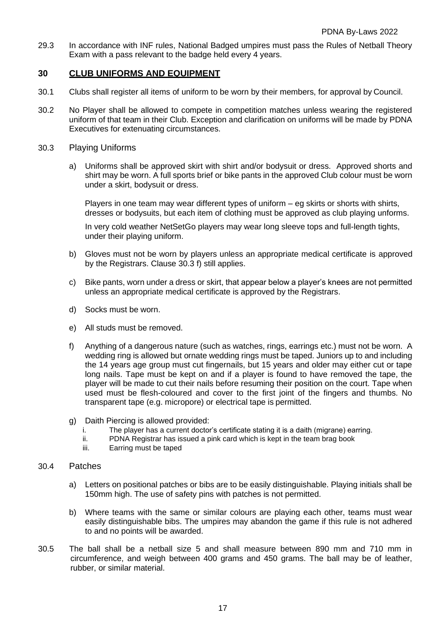29.3 In accordance with INF rules, National Badged umpires must pass the Rules of Netball Theory Exam with a pass relevant to the badge held every 4 years.

## **30 CLUB UNIFORMS AND EQUIPMENT**

- 30.1 Clubs shall register all items of uniform to be worn by their members, for approval by Council.
- 30.2 No Player shall be allowed to compete in competition matches unless wearing the registered uniform of that team in their Club. Exception and clarification on uniforms will be made by PDNA Executives for extenuating circumstances.
- 30.3 Playing Uniforms
	- a) Uniforms shall be approved skirt with shirt and/or bodysuit or dress. Approved shorts and shirt may be worn. A full sports brief or bike pants in the approved Club colour must be worn under a skirt, bodysuit or dress.

Players in one team may wear different types of uniform – eg skirts or shorts with shirts, dresses or bodysuits, but each item of clothing must be approved as club playing unforms.

In very cold weather NetSetGo players may wear long sleeve tops and full-length tights, under their playing uniform.

- b) Gloves must not be worn by players unless an appropriate medical certificate is approved by the Registrars. Clause 30.3 f) still applies.
- c) Bike pants, worn under a dress or skirt, that appear below a player's knees are not permitted unless an appropriate medical certificate is approved by the Registrars.
- d) Socks must be worn.
- e) All studs must be removed.
- f) Anything of a dangerous nature (such as watches, rings, earrings etc.) must not be worn. A wedding ring is allowed but ornate wedding rings must be taped. Juniors up to and including the 14 years age group must cut fingernails, but 15 years and older may either cut or tape long nails. Tape must be kept on and if a player is found to have removed the tape, the player will be made to cut their nails before resuming their position on the court. Tape when used must be flesh-coloured and cover to the first joint of the fingers and thumbs. No transparent tape (e.g. micropore) or electrical tape is permitted.
- g) Daith Piercing is allowed provided:
	- i. The player has a current doctor's certificate stating it is a daith (migrane) earring.
	- ii. PDNA Registrar has issued a pink card which is kept in the team brag book
	- iii. Earring must be taped

#### 30.4 Patches

- a) Letters on positional patches or bibs are to be easily distinguishable. Playing initials shall be 150mm high. The use of safety pins with patches is not permitted.
- b) Where teams with the same or similar colours are playing each other, teams must wear easily distinguishable bibs. The umpires may abandon the game if this rule is not adhered to and no points will be awarded.
- 30.5 The ball shall be a netball size 5 and shall measure between 890 mm and 710 mm in circumference, and weigh between 400 grams and 450 grams. The ball may be of leather, rubber, or similar material.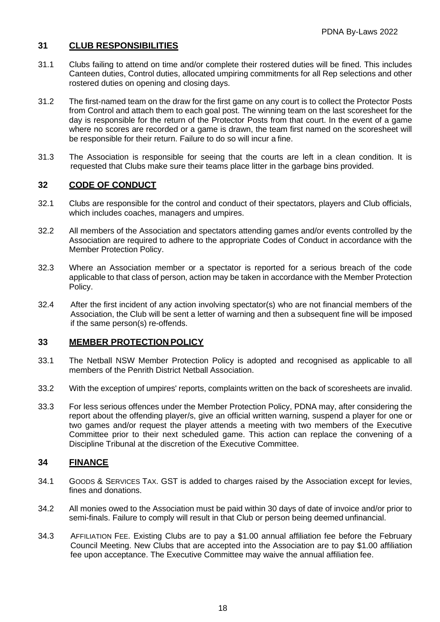## **31 CLUB RESPONSIBILITIES**

- 31.1 Clubs failing to attend on time and/or complete their rostered duties will be fined. This includes Canteen duties, Control duties, allocated umpiring commitments for all Rep selections and other rostered duties on opening and closing days.
- 31.2 The first-named team on the draw for the first game on any court is to collect the Protector Posts from Control and attach them to each goal post. The winning team on the last scoresheet for the day is responsible for the return of the Protector Posts from that court. In the event of a game where no scores are recorded or a game is drawn, the team first named on the scoresheet will be responsible for their return. Failure to do so will incur a fine.
- 31.3 The Association is responsible for seeing that the courts are left in a clean condition. It is requested that Clubs make sure their teams place litter in the garbage bins provided.

#### **32 CODE OF CONDUCT**

- 32.1 Clubs are responsible for the control and conduct of their spectators, players and Club officials, which includes coaches, managers and umpires.
- 32.2 All members of the Association and spectators attending games and/or events controlled by the Association are required to adhere to the appropriate Codes of Conduct in accordance with the Member Protection Policy.
- 32.3 Where an Association member or a spectator is reported for a serious breach of the code applicable to that class of person, action may be taken in accordance with the Member Protection Policy.
- 32.4 After the first incident of any action involving spectator(s) who are not financial members of the Association, the Club will be sent a letter of warning and then a subsequent fine will be imposed if the same person(s) re-offends.

#### **33 MEMBER PROTECTION POLICY**

- 33.1 The Netball NSW Member Protection Policy is adopted and recognised as applicable to all members of the Penrith District Netball Association.
- 33.2 With the exception of umpires' reports, complaints written on the back of scoresheets are invalid.
- 33.3 For less serious offences under the Member Protection Policy, PDNA may, after considering the report about the offending player/s, give an official written warning, suspend a player for one or two games and/or request the player attends a meeting with two members of the Executive Committee prior to their next scheduled game. This action can replace the convening of a Discipline Tribunal at the discretion of the Executive Committee.

## **34 FINANCE**

- 34.1 GOODS & SERVICES TAX. GST is added to charges raised by the Association except for levies, fines and donations.
- 34.2 All monies owed to the Association must be paid within 30 days of date of invoice and/or prior to semi-finals. Failure to comply will result in that Club or person being deemed unfinancial.
- 34.3 AFFILIATION FEE. Existing Clubs are to pay a \$1.00 annual affiliation fee before the February Council Meeting. New Clubs that are accepted into the Association are to pay \$1.00 affiliation fee upon acceptance. The Executive Committee may waive the annual affiliation fee.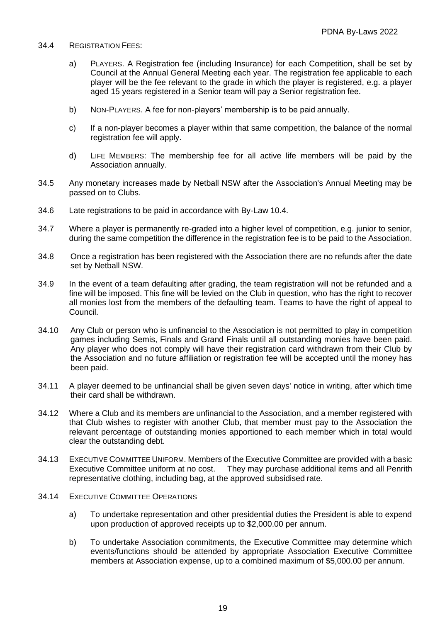- 34.4 REGISTRATION FEES:
	- a) PLAYERS. A Registration fee (including Insurance) for each Competition, shall be set by Council at the Annual General Meeting each year. The registration fee applicable to each player will be the fee relevant to the grade in which the player is registered, e.g. a player aged 15 years registered in a Senior team will pay a Senior registration fee.
	- b) NON-PLAYERS. A fee for non-players' membership is to be paid annually.
	- c) If a non-player becomes a player within that same competition, the balance of the normal registration fee will apply.
	- d) LIFE MEMBERS: The membership fee for all active life members will be paid by the Association annually.
- 34.5 Any monetary increases made by Netball NSW after the Association's Annual Meeting may be passed on to Clubs.
- 34.6 Late registrations to be paid in accordance with By-Law 10.4.
- 34.7 Where a player is permanently re-graded into a higher level of competition, e.g. junior to senior, during the same competition the difference in the registration fee is to be paid to the Association.
- 34.8 Once a registration has been registered with the Association there are no refunds after the date set by Netball NSW.
- 34.9 In the event of a team defaulting after grading, the team registration will not be refunded and a fine will be imposed. This fine will be levied on the Club in question, who has the right to recover all monies lost from the members of the defaulting team. Teams to have the right of appeal to Council.
- 34.10 Any Club or person who is unfinancial to the Association is not permitted to play in competition games including Semis, Finals and Grand Finals until all outstanding monies have been paid. Any player who does not comply will have their registration card withdrawn from their Club by the Association and no future affiliation or registration fee will be accepted until the money has been paid.
- 34.11 A player deemed to be unfinancial shall be given seven days' notice in writing, after which time their card shall be withdrawn.
- 34.12 Where a Club and its members are unfinancial to the Association, and a member registered with that Club wishes to register with another Club, that member must pay to the Association the relevant percentage of outstanding monies apportioned to each member which in total would clear the outstanding debt.
- 34.13 EXECUTIVE COMMITTEE UNIFORM. Members of the Executive Committee are provided with a basic Executive Committee uniform at no cost. They may purchase additional items and all Penrith representative clothing, including bag, at the approved subsidised rate.
- 34.14 EXECUTIVE COMMITTEE OPERATIONS
	- a) To undertake representation and other presidential duties the President is able to expend upon production of approved receipts up to \$2,000.00 per annum.
	- b) To undertake Association commitments, the Executive Committee may determine which events/functions should be attended by appropriate Association Executive Committee members at Association expense, up to a combined maximum of \$5,000.00 per annum.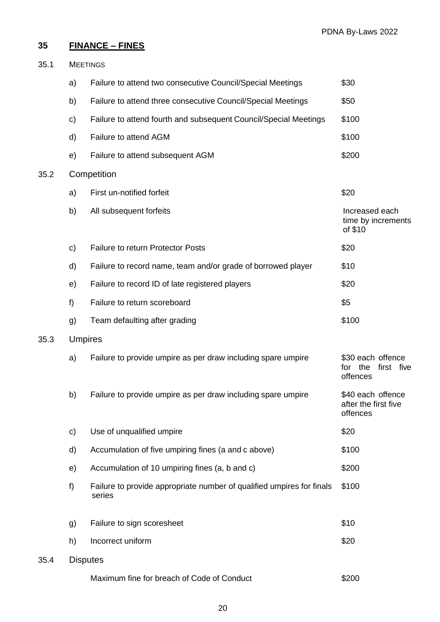## **35 FINANCE – FINES**

| 35.1<br><b>MEETINGS</b> |    |                                                                                 |                                                           |
|-------------------------|----|---------------------------------------------------------------------------------|-----------------------------------------------------------|
|                         | a) | Failure to attend two consecutive Council/Special Meetings                      | \$30                                                      |
|                         | b) | Failure to attend three consecutive Council/Special Meetings                    | \$50                                                      |
|                         | C) | Failure to attend fourth and subsequent Council/Special Meetings                | \$100                                                     |
|                         | d) | Failure to attend AGM                                                           | \$100                                                     |
|                         | e) | Failure to attend subsequent AGM                                                | \$200                                                     |
| 35.2                    |    | Competition                                                                     |                                                           |
|                         | a) | First un-notified forfeit                                                       | \$20                                                      |
|                         | b) | All subsequent forfeits                                                         | Increased each<br>time by increments<br>of \$10           |
|                         | c) | <b>Failure to return Protector Posts</b>                                        | \$20                                                      |
|                         | d) | Failure to record name, team and/or grade of borrowed player                    | \$10                                                      |
|                         | e) | Failure to record ID of late registered players                                 | \$20                                                      |
|                         | f) | Failure to return scoreboard                                                    | \$5                                                       |
|                         | g) | Team defaulting after grading                                                   | \$100                                                     |
| 35.3                    |    | <b>Umpires</b>                                                                  |                                                           |
|                         | a) | Failure to provide umpire as per draw including spare umpire                    | \$30 each offence<br>first five<br>the<br>for<br>offences |
|                         | b) | Failure to provide umpire as per draw including spare umpire                    | \$40 each offence<br>after the first five<br>offences     |
|                         | c) | Use of unqualified umpire                                                       | \$20                                                      |
|                         | d) | Accumulation of five umpiring fines (a and c above)                             | \$100                                                     |
|                         | e) | Accumulation of 10 umpiring fines (a, b and c)                                  | \$200                                                     |
|                         | f) | Failure to provide appropriate number of qualified umpires for finals<br>series | \$100                                                     |
|                         | g) | Failure to sign scoresheet                                                      | \$10                                                      |
|                         | h) | Incorrect uniform                                                               | \$20                                                      |
| 35.4                    |    | <b>Disputes</b>                                                                 |                                                           |
|                         |    | Maximum fine for breach of Code of Conduct                                      | \$200                                                     |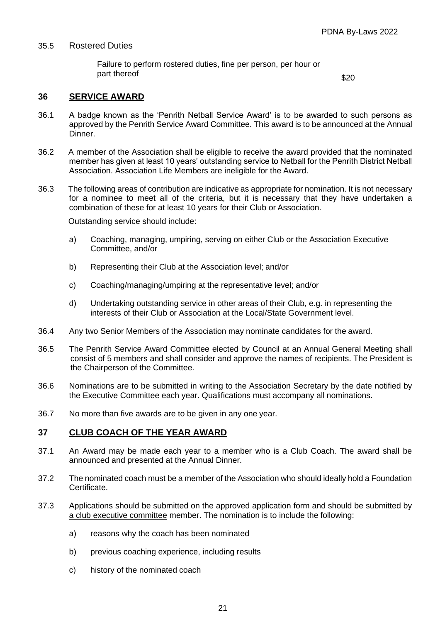#### 35.5 Rostered Duties

Failure to perform rostered duties, fine per person, per hour or part thereof  $$20$ 

## **36 SERVICE AWARD**

- 36.1 A badge known as the 'Penrith Netball Service Award' is to be awarded to such persons as approved by the Penrith Service Award Committee. This award is to be announced at the Annual Dinner.
- 36.2 A member of the Association shall be eligible to receive the award provided that the nominated member has given at least 10 years' outstanding service to Netball for the Penrith District Netball Association. Association Life Members are ineligible for the Award.
- 36.3 The following areas of contribution are indicative as appropriate for nomination. It is not necessary for a nominee to meet all of the criteria, but it is necessary that they have undertaken a combination of these for at least 10 years for their Club or Association.

Outstanding service should include:

- a) Coaching, managing, umpiring, serving on either Club or the Association Executive Committee, and/or
- b) Representing their Club at the Association level; and/or
- c) Coaching/managing/umpiring at the representative level; and/or
- d) Undertaking outstanding service in other areas of their Club, e.g. in representing the interests of their Club or Association at the Local/State Government level.
- 36.4 Any two Senior Members of the Association may nominate candidates for the award.
- 36.5 The Penrith Service Award Committee elected by Council at an Annual General Meeting shall consist of 5 members and shall consider and approve the names of recipients. The President is the Chairperson of the Committee.
- 36.6 Nominations are to be submitted in writing to the Association Secretary by the date notified by the Executive Committee each year. Qualifications must accompany all nominations.
- 36.7 No more than five awards are to be given in any one year.

## **37 CLUB COACH OF THE YEAR AWARD**

- 37.1 An Award may be made each year to a member who is a Club Coach. The award shall be announced and presented at the Annual Dinner.
- 37.2 The nominated coach must be a member of the Association who should ideally hold a Foundation Certificate.
- 37.3 Applications should be submitted on the approved application form and should be submitted by a club executive committee member. The nomination is to include the following:
	- a) reasons why the coach has been nominated
	- b) previous coaching experience, including results
	- c) history of the nominated coach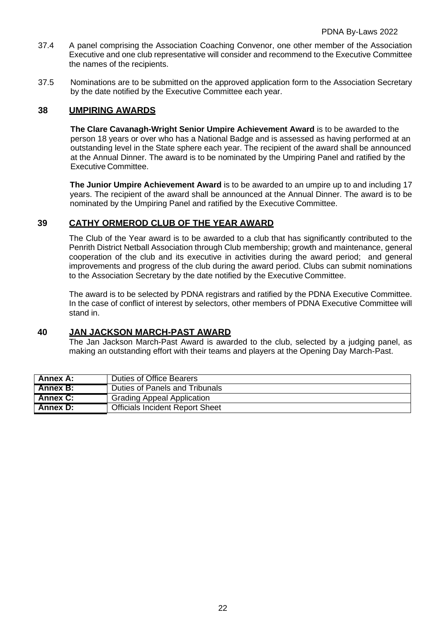- 37.4 A panel comprising the Association Coaching Convenor, one other member of the Association Executive and one club representative will consider and recommend to the Executive Committee the names of the recipients.
- 37.5 Nominations are to be submitted on the approved application form to the Association Secretary by the date notified by the Executive Committee each year.

## **38 UMPIRING AWARDS**

**The Clare Cavanagh-Wright Senior Umpire Achievement Award** is to be awarded to the person 18 years or over who has a National Badge and is assessed as having performed at an outstanding level in the State sphere each year. The recipient of the award shall be announced at the Annual Dinner. The award is to be nominated by the Umpiring Panel and ratified by the Executive Committee.

**The Junior Umpire Achievement Award** is to be awarded to an umpire up to and including 17 years. The recipient of the award shall be announced at the Annual Dinner. The award is to be nominated by the Umpiring Panel and ratified by the Executive Committee.

## **39 CATHY ORMEROD CLUB OF THE YEAR AWARD**

The Club of the Year award is to be awarded to a club that has significantly contributed to the Penrith District Netball Association through Club membership; growth and maintenance, general cooperation of the club and its executive in activities during the award period; and general improvements and progress of the club during the award period. Clubs can submit nominations to the Association Secretary by the date notified by the Executive Committee.

The award is to be selected by PDNA registrars and ratified by the PDNA Executive Committee. In the case of conflict of interest by selectors, other members of PDNA Executive Committee will stand in.

## **40 JAN JACKSON MARCH-PAST AWARD**

The Jan Jackson March-Past Award is awarded to the club, selected by a judging panel, as making an outstanding effort with their teams and players at the Opening Day March-Past.

| Annex A:        | Duties of Office Bearers               |
|-----------------|----------------------------------------|
| Annex B:        | Duties of Panels and Tribunals         |
| <b>Annex C:</b> | <b>Grading Appeal Application</b>      |
| Annex D:        | <b>Officials Incident Report Sheet</b> |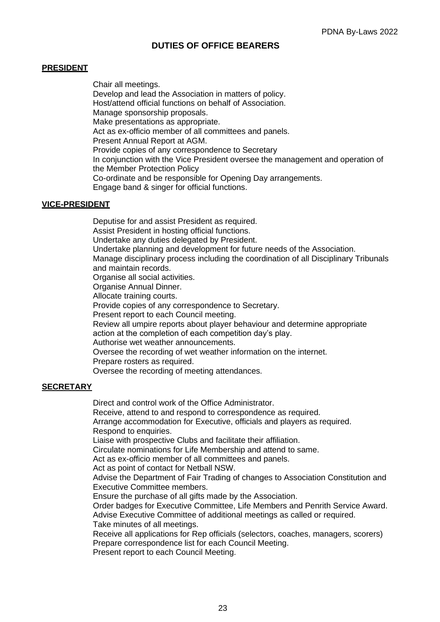#### **PRESIDENT**

Chair all meetings. Develop and lead the Association in matters of policy. Host/attend official functions on behalf of Association. Manage sponsorship proposals. Make presentations as appropriate. Act as ex-officio member of all committees and panels. Present Annual Report at AGM. Provide copies of any correspondence to Secretary In conjunction with the Vice President oversee the management and operation of the Member Protection Policy Co-ordinate and be responsible for Opening Day arrangements. Engage band & singer for official functions.

#### **VICE-PRESIDENT**

Deputise for and assist President as required. Assist President in hosting official functions. Undertake any duties delegated by President. Undertake planning and development for future needs of the Association. Manage disciplinary process including the coordination of all Disciplinary Tribunals and maintain records. Organise all social activities. Organise Annual Dinner. Allocate training courts. Provide copies of any correspondence to Secretary. Present report to each Council meeting. Review all umpire reports about player behaviour and determine appropriate action at the completion of each competition day's play. Authorise wet weather announcements. Oversee the recording of wet weather information on the internet. Prepare rosters as required. Oversee the recording of meeting attendances.

#### **SECRETARY**

Direct and control work of the Office Administrator.

Receive, attend to and respond to correspondence as required.

Arrange accommodation for Executive, officials and players as required. Respond to enquiries.

Liaise with prospective Clubs and facilitate their affiliation.

Circulate nominations for Life Membership and attend to same.

Act as ex-officio member of all committees and panels.

Act as point of contact for Netball NSW.

Advise the Department of Fair Trading of changes to Association Constitution and Executive Committee members.

Ensure the purchase of all gifts made by the Association.

Order badges for Executive Committee, Life Members and Penrith Service Award. Advise Executive Committee of additional meetings as called or required.

Take minutes of all meetings.

Receive all applications for Rep officials (selectors, coaches, managers, scorers) Prepare correspondence list for each Council Meeting.

Present report to each Council Meeting.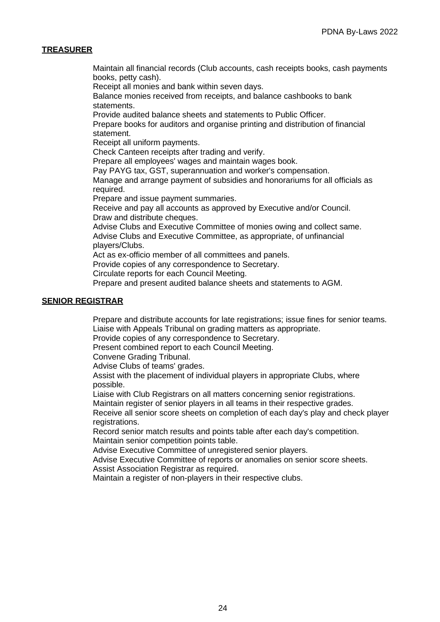#### **TREASURER**

Maintain all financial records (Club accounts, cash receipts books, cash payments books, petty cash).

Receipt all monies and bank within seven days.

Balance monies received from receipts, and balance cashbooks to bank statements.

Provide audited balance sheets and statements to Public Officer.

Prepare books for auditors and organise printing and distribution of financial statement.

Receipt all uniform payments.

Check Canteen receipts after trading and verify.

Prepare all employees' wages and maintain wages book.

Pay PAYG tax, GST, superannuation and worker's compensation.

Manage and arrange payment of subsidies and honorariums for all officials as required.

Prepare and issue payment summaries.

Receive and pay all accounts as approved by Executive and/or Council. Draw and distribute cheques.

Advise Clubs and Executive Committee of monies owing and collect same. Advise Clubs and Executive Committee, as appropriate, of unfinancial players/Clubs.

Act as ex-officio member of all committees and panels.

Provide copies of any correspondence to Secretary.

Circulate reports for each Council Meeting.

Prepare and present audited balance sheets and statements to AGM.

#### **SENIOR REGISTRAR**

Prepare and distribute accounts for late registrations; issue fines for senior teams. Liaise with Appeals Tribunal on grading matters as appropriate.

Provide copies of any correspondence to Secretary.

Present combined report to each Council Meeting.

Convene Grading Tribunal.

Advise Clubs of teams' grades.

Assist with the placement of individual players in appropriate Clubs, where possible.

Liaise with Club Registrars on all matters concerning senior registrations.

Maintain register of senior players in all teams in their respective grades.

Receive all senior score sheets on completion of each day's play and check player registrations.

Record senior match results and points table after each day's competition. Maintain senior competition points table.

Advise Executive Committee of unregistered senior players.

Advise Executive Committee of reports or anomalies on senior score sheets. Assist Association Registrar as required.

Maintain a register of non-players in their respective clubs.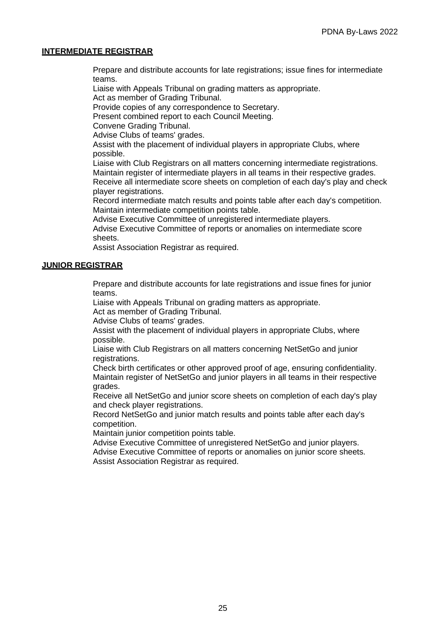#### **INTERMEDIATE REGISTRAR**

Prepare and distribute accounts for late registrations; issue fines for intermediate teams.

Liaise with Appeals Tribunal on grading matters as appropriate.

Act as member of Grading Tribunal.

Provide copies of any correspondence to Secretary.

Present combined report to each Council Meeting.

Convene Grading Tribunal.

Advise Clubs of teams' grades.

Assist with the placement of individual players in appropriate Clubs, where possible.

Liaise with Club Registrars on all matters concerning intermediate registrations. Maintain register of intermediate players in all teams in their respective grades. Receive all intermediate score sheets on completion of each day's play and check player registrations.

Record intermediate match results and points table after each day's competition. Maintain intermediate competition points table.

Advise Executive Committee of unregistered intermediate players.

Advise Executive Committee of reports or anomalies on intermediate score sheets.

Assist Association Registrar as required.

#### **JUNIOR REGISTRAR**

Prepare and distribute accounts for late registrations and issue fines for junior teams.

Liaise with Appeals Tribunal on grading matters as appropriate.

Act as member of Grading Tribunal.

Advise Clubs of teams' grades.

Assist with the placement of individual players in appropriate Clubs, where possible.

Liaise with Club Registrars on all matters concerning NetSetGo and junior registrations.

Check birth certificates or other approved proof of age, ensuring confidentiality. Maintain register of NetSetGo and junior players in all teams in their respective grades.

Receive all NetSetGo and junior score sheets on completion of each day's play and check player registrations.

Record NetSetGo and junior match results and points table after each day's competition.

Maintain junior competition points table.

Advise Executive Committee of unregistered NetSetGo and junior players. Advise Executive Committee of reports or anomalies on junior score sheets. Assist Association Registrar as required.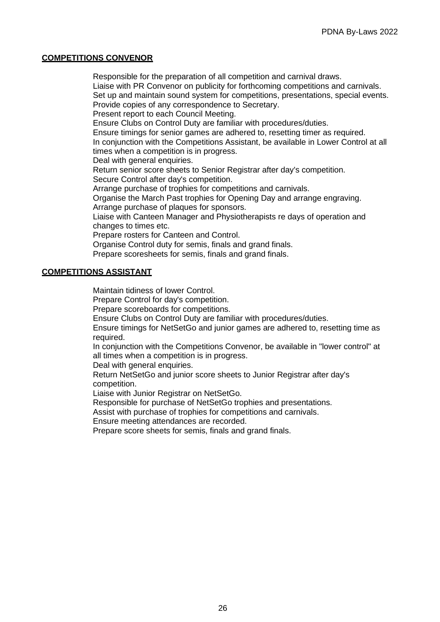#### **COMPETITIONS CONVENOR**

Responsible for the preparation of all competition and carnival draws. Liaise with PR Convenor on publicity for forthcoming competitions and carnivals. Set up and maintain sound system for competitions, presentations, special events. Provide copies of any correspondence to Secretary. Present report to each Council Meeting. Ensure Clubs on Control Duty are familiar with procedures/duties. Ensure timings for senior games are adhered to, resetting timer as required. In conjunction with the Competitions Assistant, be available in Lower Control at all times when a competition is in progress. Deal with general enquiries. Return senior score sheets to Senior Registrar after day's competition. Secure Control after day's competition. Arrange purchase of trophies for competitions and carnivals. Organise the March Past trophies for Opening Day and arrange engraving. Arrange purchase of plaques for sponsors. Liaise with Canteen Manager and Physiotherapists re days of operation and changes to times etc. Prepare rosters for Canteen and Control. Organise Control duty for semis, finals and grand finals. Prepare scoresheets for semis, finals and grand finals.

#### **COMPETITIONS ASSISTANT**

Maintain tidiness of lower Control.

Prepare Control for day's competition.

Prepare scoreboards for competitions.

Ensure Clubs on Control Duty are familiar with procedures/duties.

Ensure timings for NetSetGo and junior games are adhered to, resetting time as required.

In conjunction with the Competitions Convenor, be available in "lower control" at all times when a competition is in progress.

Deal with general enquiries.

Return NetSetGo and junior score sheets to Junior Registrar after day's competition.

Liaise with Junior Registrar on NetSetGo.

Responsible for purchase of NetSetGo trophies and presentations.

Assist with purchase of trophies for competitions and carnivals.

Ensure meeting attendances are recorded.

Prepare score sheets for semis, finals and grand finals.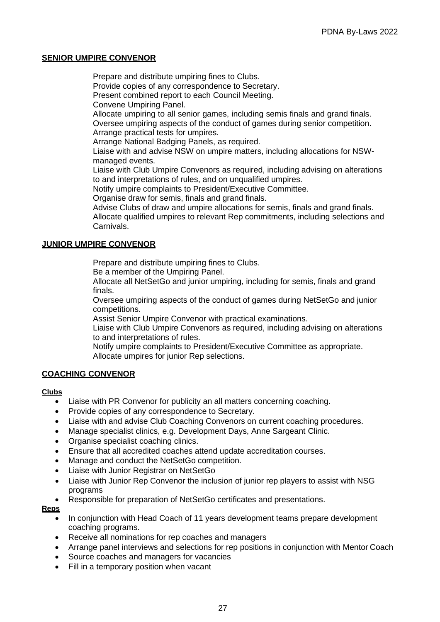#### **SENIOR UMPIRE CONVENOR**

Prepare and distribute umpiring fines to Clubs. Provide copies of any correspondence to Secretary. Present combined report to each Council Meeting. Convene Umpiring Panel. Allocate umpiring to all senior games, including semis finals and grand finals. Oversee umpiring aspects of the conduct of games during senior competition. Arrange practical tests for umpires. Arrange National Badging Panels, as required. Liaise with and advise NSW on umpire matters, including allocations for NSWmanaged events. Liaise with Club Umpire Convenors as required, including advising on alterations to and interpretations of rules, and on unqualified umpires. Notify umpire complaints to President/Executive Committee. Organise draw for semis, finals and grand finals. Advise Clubs of draw and umpire allocations for semis, finals and grand finals. Allocate qualified umpires to relevant Rep commitments, including selections and Carnivals.

#### **JUNIOR UMPIRE CONVENOR**

Prepare and distribute umpiring fines to Clubs.

Be a member of the Umpiring Panel.

Allocate all NetSetGo and junior umpiring, including for semis, finals and grand finals.

Oversee umpiring aspects of the conduct of games during NetSetGo and junior competitions.

Assist Senior Umpire Convenor with practical examinations.

Liaise with Club Umpire Convenors as required, including advising on alterations to and interpretations of rules.

Notify umpire complaints to President/Executive Committee as appropriate. Allocate umpires for junior Rep selections.

#### **COACHING CONVENOR**

#### **Clubs**

- Liaise with PR Convenor for publicity an all matters concerning coaching.
- Provide copies of any correspondence to Secretary.
- Liaise with and advise Club Coaching Convenors on current coaching procedures.
- Manage specialist clinics, e.g. Development Days, Anne Sargeant Clinic.
- Organise specialist coaching clinics.
- Ensure that all accredited coaches attend update accreditation courses.
- Manage and conduct the NetSetGo competition.
- Liaise with Junior Registrar on NetSetGo
- Liaise with Junior Rep Convenor the inclusion of junior rep players to assist with NSG programs
- Responsible for preparation of NetSetGo certificates and presentations.

#### **Reps**

- In conjunction with Head Coach of 11 years development teams prepare development coaching programs.
- Receive all nominations for rep coaches and managers
- Arrange panel interviews and selections for rep positions in conjunction with Mentor Coach
- Source coaches and managers for vacancies
- Fill in a temporary position when vacant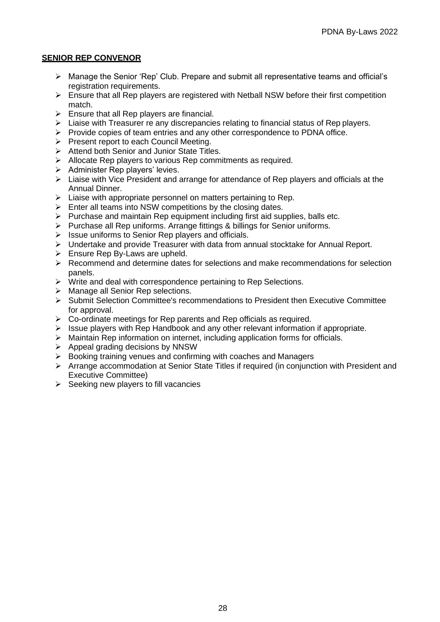#### **SENIOR REP CONVENOR**

- ➢ Manage the Senior 'Rep' Club. Prepare and submit all representative teams and official's registration requirements.
- $\triangleright$  Ensure that all Rep players are registered with Netball NSW before their first competition match.
- $\triangleright$  Ensure that all Rep players are financial.
- $\triangleright$  Liaise with Treasurer re any discrepancies relating to financial status of Rep players.
- $\triangleright$  Provide copies of team entries and any other correspondence to PDNA office.
- ➢ Present report to each Council Meeting.
- ➢ Attend both Senior and Junior State Titles.
- ➢ Allocate Rep players to various Rep commitments as required.
- $\triangleright$  Administer Rep players' levies.
- ➢ Liaise with Vice President and arrange for attendance of Rep players and officials at the Annual Dinner.
- $\triangleright$  Liaise with appropriate personnel on matters pertaining to Rep.
- $\triangleright$  Enter all teams into NSW competitions by the closing dates.
- ➢ Purchase and maintain Rep equipment including first aid supplies, balls etc.
- ➢ Purchase all Rep uniforms. Arrange fittings & billings for Senior uniforms.
- ➢ Issue uniforms to Senior Rep players and officials.
- $\triangleright$  Undertake and provide Treasurer with data from annual stocktake for Annual Report.
- $\triangleright$  Ensure Rep By-Laws are upheld.
- $\triangleright$  Recommend and determine dates for selections and make recommendations for selection panels.
- ➢ Write and deal with correspondence pertaining to Rep Selections.
- ➢ Manage all Senior Rep selections.
- ➢ Submit Selection Committee's recommendations to President then Executive Committee for approval.
- $\triangleright$  Co-ordinate meetings for Rep parents and Rep officials as required.
- $\triangleright$  Issue players with Rep Handbook and any other relevant information if appropriate.
- $\triangleright$  Maintain Rep information on internet, including application forms for officials.
- $\triangleright$  Appeal grading decisions by NNSW
- ➢ Booking training venues and confirming with coaches and Managers
- ➢ Arrange accommodation at Senior State Titles if required (in conjunction with President and Executive Committee)
- $\triangleright$  Seeking new players to fill vacancies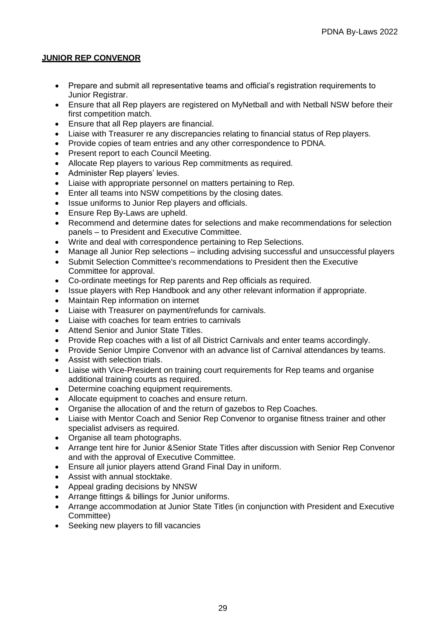## **JUNIOR REP CONVENOR**

- Prepare and submit all representative teams and official's registration requirements to Junior Registrar.
- Ensure that all Rep players are registered on MyNetball and with Netball NSW before their first competition match.
- Ensure that all Rep players are financial.
- Liaise with Treasurer re any discrepancies relating to financial status of Rep players.
- Provide copies of team entries and any other correspondence to PDNA.
- Present report to each Council Meeting.
- Allocate Rep players to various Rep commitments as required.
- Administer Rep players' levies.
- Liaise with appropriate personnel on matters pertaining to Rep.
- Enter all teams into NSW competitions by the closing dates.
- Issue uniforms to Junior Rep players and officials.
- Ensure Rep By-Laws are upheld.
- Recommend and determine dates for selections and make recommendations for selection panels – to President and Executive Committee.
- Write and deal with correspondence pertaining to Rep Selections.
- Manage all Junior Rep selections including advising successful and unsuccessful players
- Submit Selection Committee's recommendations to President then the Executive Committee for approval.
- Co-ordinate meetings for Rep parents and Rep officials as required.
- Issue players with Rep Handbook and any other relevant information if appropriate.
- Maintain Rep information on internet
- Liaise with Treasurer on payment/refunds for carnivals.
- Liaise with coaches for team entries to carnivals
- Attend Senior and Junior State Titles.
- Provide Rep coaches with a list of all District Carnivals and enter teams accordingly.
- Provide Senior Umpire Convenor with an advance list of Carnival attendances by teams.
- Assist with selection trials.
- Liaise with Vice-President on training court requirements for Rep teams and organise additional training courts as required.
- Determine coaching equipment requirements.
- Allocate equipment to coaches and ensure return.
- Organise the allocation of and the return of gazebos to Rep Coaches.
- Liaise with Mentor Coach and Senior Rep Convenor to organise fitness trainer and other specialist advisers as required.
- Organise all team photographs.
- Arrange tent hire for Junior &Senior State Titles after discussion with Senior Rep Convenor and with the approval of Executive Committee.
- Ensure all junior players attend Grand Final Day in uniform.
- Assist with annual stocktake.
- Appeal grading decisions by NNSW
- Arrange fittings & billings for Junior uniforms.
- Arrange accommodation at Junior State Titles (in conjunction with President and Executive Committee)
- Seeking new players to fill vacancies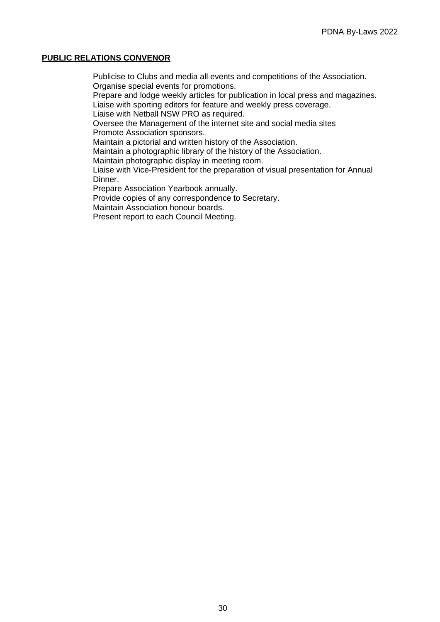#### **PUBLIC RELATIONS CONVENOR**

Publicise to Clubs and media all events and competitions of the Association. Organise special events for promotions.

Prepare and lodge weekly articles for publication in local press and magazines. Liaise with sporting editors for feature and weekly press coverage.

Liaise with Netball NSW PRO as required.

Oversee the Management of the internet site and social media sites Promote Association sponsors.

Maintain a pictorial and written history of the Association.

Maintain a photographic library of the history of the Association.

Maintain photographic display in meeting room.

Liaise with Vice-President for the preparation of visual presentation for Annual Dinner.

Prepare Association Yearbook annually.

Provide copies of any correspondence to Secretary.

Maintain Association honour boards.

Present report to each Council Meeting.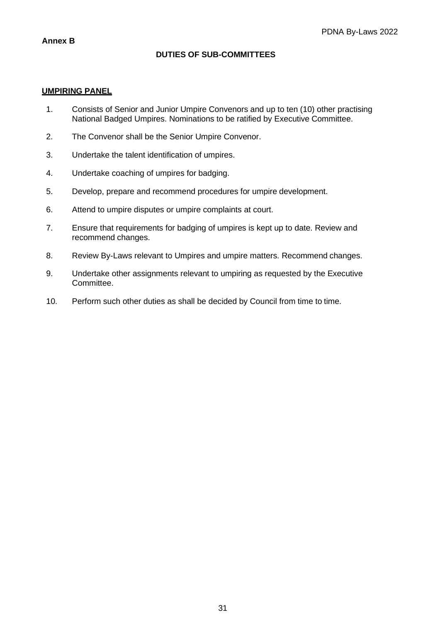## **DUTIES OF SUB-COMMITTEES**

#### **UMPIRING PANEL**

- 1. Consists of Senior and Junior Umpire Convenors and up to ten (10) other practising National Badged Umpires. Nominations to be ratified by Executive Committee.
- 2. The Convenor shall be the Senior Umpire Convenor.
- 3. Undertake the talent identification of umpires.
- 4. Undertake coaching of umpires for badging.
- 5. Develop, prepare and recommend procedures for umpire development.
- 6. Attend to umpire disputes or umpire complaints at court.
- 7. Ensure that requirements for badging of umpires is kept up to date. Review and recommend changes.
- 8. Review By-Laws relevant to Umpires and umpire matters. Recommend changes.
- 9. Undertake other assignments relevant to umpiring as requested by the Executive Committee.
- 10. Perform such other duties as shall be decided by Council from time to time.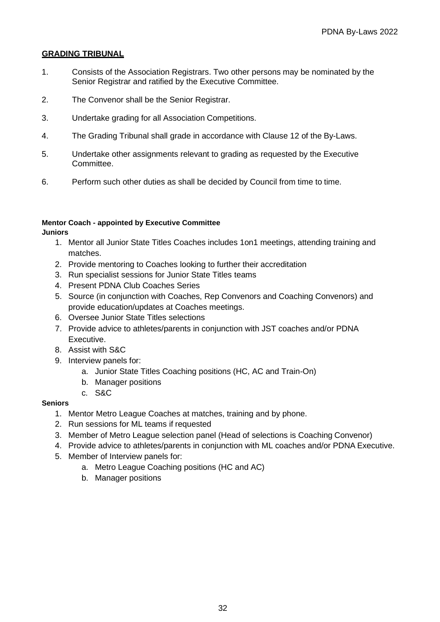#### **GRADING TRIBUNAL**

- 1. Consists of the Association Registrars. Two other persons may be nominated by the Senior Registrar and ratified by the Executive Committee.
- 2. The Convenor shall be the Senior Registrar.
- 3. Undertake grading for all Association Competitions.
- 4. The Grading Tribunal shall grade in accordance with Clause 12 of the By-Laws.
- 5. Undertake other assignments relevant to grading as requested by the Executive Committee.
- 6. Perform such other duties as shall be decided by Council from time to time.

## **Mentor Coach - appointed by Executive Committee**

**Juniors**

- 1. Mentor all Junior State Titles Coaches includes 1on1 meetings, attending training and matches.
- 2. Provide mentoring to Coaches looking to further their accreditation
- 3. Run specialist sessions for Junior State Titles teams
- 4. Present PDNA Club Coaches Series
- 5. Source (in conjunction with Coaches, Rep Convenors and Coaching Convenors) and provide education/updates at Coaches meetings.
- 6. Oversee Junior State Titles selections
- 7. Provide advice to athletes/parents in conjunction with JST coaches and/or PDNA Executive.
- 8. Assist with S&C
- 9. Interview panels for:
	- a. Junior State Titles Coaching positions (HC, AC and Train-On)
	- b. Manager positions
	- c. S&C

#### **Seniors**

- 1. Mentor Metro League Coaches at matches, training and by phone.
- 2. Run sessions for ML teams if requested
- 3. Member of Metro League selection panel (Head of selections is Coaching Convenor)
- 4. Provide advice to athletes/parents in conjunction with ML coaches and/or PDNA Executive.
- 5. Member of Interview panels for:
	- a. Metro League Coaching positions (HC and AC)
	- b. Manager positions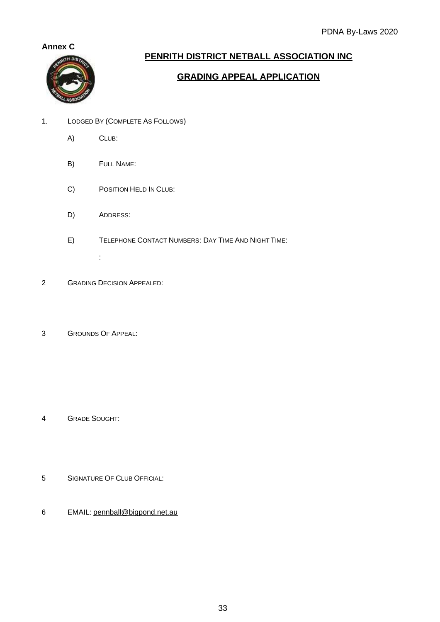### **Annex C**



## **PENRITH DISTRICT NETBALL ASSOCIATION INC**

## **GRADING APPEAL APPLICATION**

- 1. LODGED BY (COMPLETE AS FOLLOWS)
	- A) CLUB:
	- B) FULL NAME:
	- C) POSITION HELD IN CLUB:
	- D) ADDRESS:
	- E) TELEPHONE CONTACT NUMBERS: DAY TIME AND NIGHT TIME:
- 2 GRADING DECISION APPEALED:

:

3 GROUNDS OF APPEAL:

- 4 GRADE SOUGHT:
- 5 SIGNATURE OF CLUB OFFICIAL:
- 6 EMAIL: [pennball@bigpond.net.au](mailto:PENNBALL@BIGPOND.NET.AU)